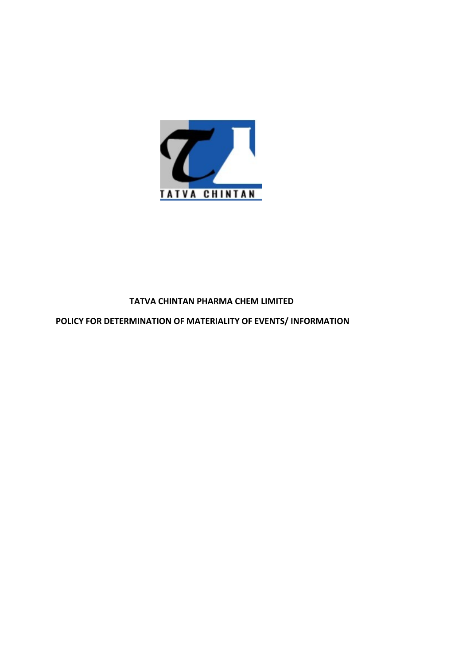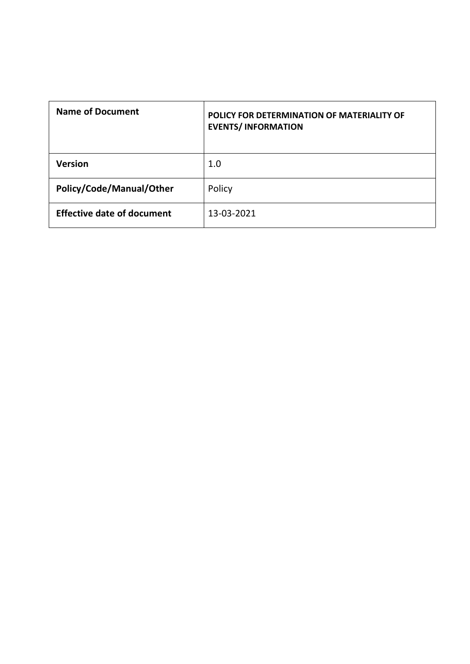| <b>Name of Document</b>           | POLICY FOR DETERMINATION OF MATERIALITY OF<br><b>EVENTS/INFORMATION</b> |
|-----------------------------------|-------------------------------------------------------------------------|
| <b>Version</b>                    | $1.0\,$                                                                 |
| Policy/Code/Manual/Other          | Policy                                                                  |
| <b>Effective date of document</b> | 13-03-2021                                                              |
|                                   |                                                                         |
|                                   |                                                                         |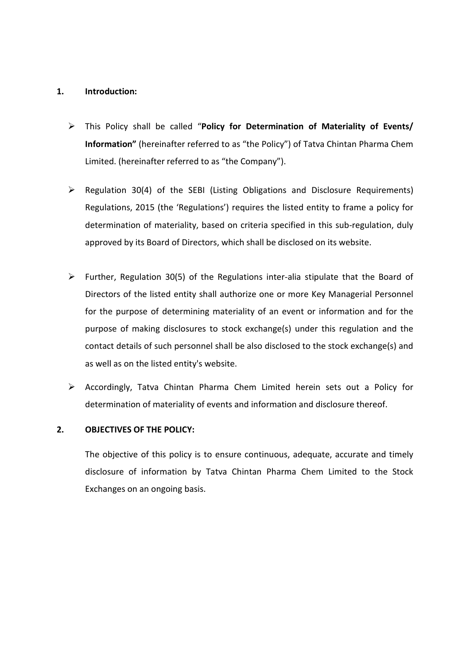- 1. Introduction:<br>
> This Policy shall be called "Policy for Determination of Mate<br>
Information" (hereinafter referred to as "the Policy") of Tatva Chin Introduction:<br>
This Policy shall be called "Policy for Determination of Materiality of Events/<br>
Information" (hereinafter referred to as "the Company").<br>
Limited. (hereinafter referred to as "the Company"). Introduction:<br>This Policy shall be called "Policy for Determination of Materiality of Events/<br>Information" (hereinafter referred to as "the Policy") of Tatva Chintan Pharma Chem<br>Limited. (hereinafter referred to as "the Co Introduction:<br>This Policy shall be called "**Policy for Determination of Materiality of Events/**<br>Information" (hereinafter referred to as "the Policy") of Tatva Chintan Pharma Chem<br>Limited. (hereinafter referred to as "the
	- Regulation 30(4) of the SEBI (Listing Obligations and Disclosure Requirements)<br>
	Regulation 30(4) of the SEBI (Listing Obligations and Disclosure Requirements)<br>
	Regulation 30(4) of the SEBI (Listing Obligations and Disclos Introduction:<br>This Policy shall be called "**Policy for Determination of Materiality of Events/**<br>Information" (hereinafter referred to as "the Company").<br>Regulation 30(4) of the SEBI (Listing Obligations and Disclosure Requ Introduction:<br>
	This Policy shall be called "Policy for Determination of Materiality of Events/<br>
	Information" (hereinafter referred to as "the Policy") of Tatva Chintan Pharma Chem<br>
	Limited. (hereinafter referred to as "the Introduction:<br>
	This Policy shall be called "Policy for Determination of Materiality of Events/<br>
	Information" (hereinafter referred to as "the Company").<br>
	Regulation 30(4) of the SEBI (Listing Obligations and Disclosure Req
- Further, Prefiliar and the called "Policy for Determination of Materiality of Events<br>
Furthermation" (hereinafter referred to as "the Policy") of Tatva Chintan Pharma Chem<br>
Limited. (hereinafter referred to as "the Compan This Policy shall be called "**Policy for Determination of Materiality of Events/**<br>Information" (hereinafter referred to as "the Policy") of Tatva Chintan Pharma Chem<br>Limited. (hereinafter referred to as "the Company").<br>Reg This Policy shall be called "**Policy for Determination of Materiality of Events/**<br>Information" (hereinafter referred to as "the Policy") of Tatva Chintan Pharma Chem<br>Limited. (hereinafter referred to as "the Company").<br>Reg Information" (hereinafter referred to as "the Policy") of Tatva Chintan Pharma Chem<br>Limited. (hereinafter referred to as "the Company").<br>Regulation 30(4) of the SEBI (Listing Obligations and Disclosure Requirements)<br>Regula Limited. (hereinafter referred to as "the Company").<br>Regulation 30(4) of the SEBI (Listing Obligations and Disclosure Requirements)<br>Regulations, 2015 (the 'Regulations') requires the listed entity to frame a policy for<br>det Regulation 30(4) of the SEBI (Listing Obligations and Disclosure Requirements)<br>Regulations, 2015 (the 'Regulations') requires the listed entity to frame a policy for<br>determination of materiality, based on criteria specifie Accordingly, Tatva Chintan Pharma Chem Limited herein sets out a Policy for<br>determination of materiality, based on criteria specified in this sub-regulation, duly<br>approved by its Board of Directors, which shall be disclos Regulations, 2015 (the "Regulations") requires the listed entity to frame a policy for<br>determination of materiality, based on criteria specified in this sub-regulation, duly<br>approved by its Board of Directors, which shall approved by its Board of Directors, which shall be disclosed on its website.<br>
→ Further, Regulation 30(5) of the Regulations inter-alia stipulate that the Board of<br>
Directors of the listed entity shall authorize one or mo Further, Regulation 30(5) of the Regulations inter-alia stipulate that the Board of<br>Directors of the listed entity shall authorize one or more Key Managerial Personnel<br>for the purpose of determining materiality of an event Further, Regulation 30(5) of the Regulations inter-alia stipulate that the Board of<br>Directors of the listed entity shall authorize one or more Key Managerial Personnel<br>for the purpose of determining materiality of an event Directors of the listed entity shall authorize one or more Key Managerial Personnel<br>for the purpose of determining materiality of an event or information and for the<br>purpose of making disclosures to stock exchange(s) under
	-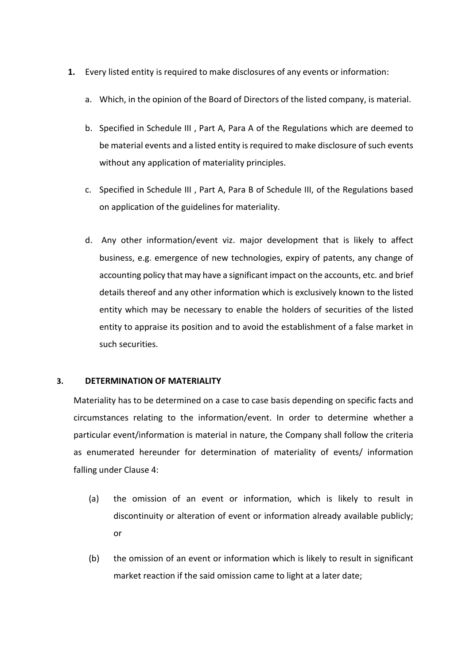- 
- 1. Every listed entity is required to make disclosures of any events or information:<br>a. Which, in the opinion of the Board of Directors of the listed company, is material.<br>b. Specified in Schedule III , Part A, Para A of t
	- Every listed entity is required to make disclosures of any events or information:<br>a. Which, in the opinion of the Board of Directors of the listed company, is material.<br>b. Specified in Schedule III , Part A, Para A of the Every listed entity is required to make disclosures of any events or information:<br>
	a. Which, in the opinion of the Board of Directors of the listed company, is material.<br>
	b. Specified in Schedule III , Part A, Para A of th Formulated entity is required to make disclosures of any events or information:<br>
	Which, in the opinion of the Board of Directors of the listed company, is material.<br>
	Specified in Schedule III , Part A, Para A of the Regula ry listed entity is required to make disclosures of any events or information:<br>Which, in the opinion of the Board of Directors of the listed company, is material.<br>Specified in Schedule III , Part A, Para A of the Regulatio Every listed entity is required to make disclosures of any events or information:<br>
	a. Which, in the opinion of the Board of Directors of the listed company, is material.<br>
	b. Specified in Schedule III , Part A, Para A of th ry listed entity is required to make disclosures of any events or information:<br>Which, in the opinion of the Board of Directors of the listed company, is material.<br>Specified in Schedule III , Part A, Para A of the Regulatio
	-
- Every listed entity is required to make disclosures of any events or information:<br>
a. Which, in the opinion of the Board of Directors of the listed company, is material.<br>
b. Specified in Schedule III , Part A, Para A of th ry listed entity is required to make disclosures of any events or information:<br>Which, in the opinion of the Board of Directors of the listed company, is material.<br>Specified in Schedule III , Part A, Para A of the Regulatio Which, in the opinion of the Board of Directors of the listed company, is material.<br>Specified in Schedule III , Part A, Para A of the Regulations which are deemed to<br>be material events and a listed entity is required to ma Which, in the opinion of the Board of Directors of the listed company, is material.<br>Specified in Schedule III , Part A, Para A of the Regulations which are deemed to<br>be material events and a listed entity is required to ma Specified in Schedule III , Part A, Para A of the Regulations which are deemed to<br>be material events and a listed entity is required to make disclosure of such events<br>without any application of materiality principles.<br>Spec specified in Schecule in , rate X, rata X of the regulations which are deelified to be material events and a listed entity is required to make disclosure of such events without any application of materiality principles.<br>Sp be material events and a listed entity is required to make discussive or su<br>without any application of materiality principles.<br>Specified in Schedule III , Part A, Para B of Schedule III, of the Regulation<br>on application of C. Specified in Schedule III , Part A, Para B of Schedule III, of the Regulations based<br>on application of the guidelines for materiality.<br>d. Any other information/event viz. major development that is likely to affect<br>busin on application of the guidelines for materiality.<br>
d. Any other information/event viz. major development that is likely to affect<br>
business, e.g. emergence of new technologies, expiry of patents, any change of<br>
accounting d. Any other information/event viz. major development that is likely to affect<br>business, e.g. emergence of new technologies, expiry of patents, any change of<br>accounting policy that may have a significant impact on the acco d. Any other information/event viz. major development that is likely to affect<br>business, e.g. emergence of new technologies, expiry of patents, any change of<br>accounting policy that may have a significant impact on the acco business, e.g. emergence of new technologies, expiry of patents, any change of<br>accounting policy that may have a significant impact on the accounts, etc. and brief<br>details thereof and any other information which is exclusi

accounting policy that may have a significant impact on the accounts, etc. and brief<br>
details thereof and any other information which is exclusively known to the liste<br>
entity which may be necessary to enable the holders o entity which may be necessary to enable the holders of securities of the listed<br>entity to appraise its position and to avoid the establishment of a false market in<br>such securities.<br>DETERMINATION OF MATERIALITY<br>reriality ha ity to appraise its position and to avoid the establishment of a false market in<br>
in securities.<br>
INNATION OF MATERIALITY<br>
INNATION OF MATERIALITY<br>
INNATION OF MATERIALITY<br>
INNATION OF MATERIALITY<br>
INNATION OF MATERIALITY<br> DETERMINATION OF MATERIALITY<br>
Erriality has to be determined on a case to case basis depending on specific facts and<br>
umstances relating to the information/event. In order to determine whether a<br>
cicular event/information **v**<br>In a to be determined on a case to case basis depending on specific facts and<br>ness relating to the information/event. In order to determine whether a<br>event/information is material in nature, the Company shall follow th

- or
-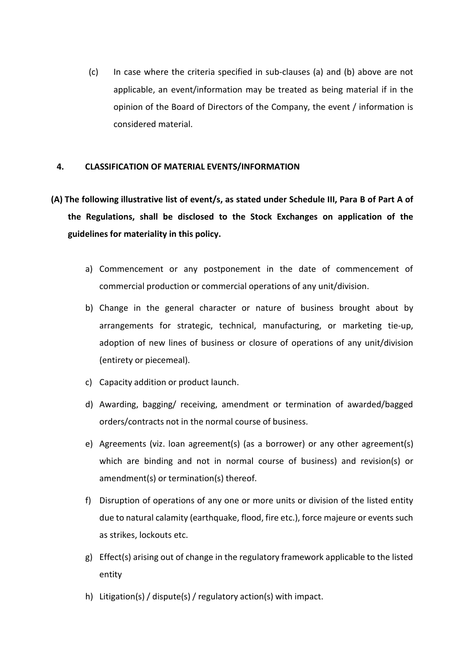(c) In case where the criteria specified in sub-clauses (a) and (b) above are not applicable, an event/information may be treated as being material if in the opinion of the Board of Directors of the Company, the event / in In case where the criteria specified in sub-clauses (a) and (b) above are not applicable, an event/information may be treated as being material if in the opinion of the Board of Directors of the Company, the event / infor In case where the criteria specified in sub-clauses (a) and (b) above are not<br>applicable, an event/information may be treated as being material if in the<br>opinion of the Board of Directors of the Company, the event / inform In case where the criteria specified in sub-clauses (a) and (b) above are not<br>applicable, an event/information may be treated as being material if in the<br>opinion of the Board of Directors of the Company, the event / inform (c) In case where the criteria specified in sub-clauses (a) and (b) above are not<br>applicable, an event/information may be treated as being material if in the<br>opinion of the Board of Directors of the Company, the event / in (c) In case where the criteria specified in sub-clauses (a) and (b) above are not applicable, an event/information may be treated as being material if in the opinion of the Board of Directors of the Company, the event / in (c) In case where the criteria specified in sub-clauses (a) and (b) above are not<br>applicable, an event/information may be treated as being material if in the<br>opinion of the Board of Directors of the Company, the event / in (c) In case where the criteria specified in sub-clauses (a) and (b) above are not<br>applicable, an event/information may be treated as being material if in the<br>opinion of the Board of Directors of the Company, the event / in (c) In case where the criteria specified in sub-clauses (a) and (b) above are not<br>applicable, an event/information may be treated as being material if in the<br>opinion of the Board of Directors of the Company, the event / in

- applicable, an event/information may be treated as being material if in the<br>opinion of the Board of Directors of the Company, the event / information is<br>considered material.<br>SSIFICATION OF MATERIAL EVENTS/INFORMATION<br>wing
	-
	- Example in the general character or nature of business brown, and the general characteristic considered material.<br>
	CLASSIFICATION OF MATERIAL EVENTS/INFORMATION<br>
	Dilowing illustrative list of event/s, as stated under Sched ssiFICATION OF MATERIAL EVENTS/INFORMATION<br>wing illustrative list of event/s, as stated under Schedule III, Para B of Part A of<br>qulations, shall be disclosed to the Stock Exchanges on application of the<br>es for materiality SSIFICATION OF MATERIAL EVENTS/INFORMATION<br>
	wing illustrative list of event/s, as stated under Schedule III, Para B of Part A of<br>
	ulations, shall be disclosed to the Stock Exchanges on application of the<br>
	es for materialit SSIFICATION OF MATERIAL EVENTS/INFORMATION<br>
	wing illustrative list of event/s, as stated under Schedule III, Para B of Part A<br>
	ulations, shall be disclosed to the Stock Exchanges on application of t<br>
	es for materiality in ollowing illustrative list of event/s, as stated under Schedule III, Para B of Part A of<br>Regulations, shall be disclosed to the Stock Exchanges on application of the<br>elines for materiality in this policy.<br>a) Commencement o Regulations, shall be disclosed to the Stock Exchanges on application of the<br>
	elines for materiality in this policy.<br>
	a) Commencement or any postponement in the date of commencement of<br>
	commercial production or commercial es for materiality in this policy.<br>
	Commencement or any postponement in the date of commencement of<br>
	commercial production or commercial operations of any unit/division.<br>
	Change in the general character or nature of busine a) Commencement or any postponement in the date of commencement of<br>
	commercial production or commercial operations of any unit/division.<br>
	b) Change in the general character or nature of business brought about by<br>
	arrangeme Commencement or any postponement in the date of commencement of<br>commercial production or commercial operations of any unit/division.<br>Change in the general character or nature of business brought about by<br>arrangements for s commercial production or commercial operations of any unit/division.<br>Change in the general character or nature of business brought about by<br>arrangements for strategic, technical, manufacturing, or marketing tie-up,<br>adoptio F) Change in the general character or nature of business brought about by<br>
	arrangements for strategic, technical, manufacturing, or marketing tie-up,<br>
	adoption of new lines of business or closure of operations of any unit/ arrangements for strategic, technical, manufacturing, or marketing tie-up,<br>adoption of new lines of business or closure of operations of any unit/division<br>(entirety or piecemeal).<br>Capacity addition or product launch.<br>Award
	-
	-
	- adoption of new lines of business or closure of operations of any unit/division<br>(entirety or piecemeal).<br>Capacity addition or product launch.<br>Awarding, bagging/ receiving, amendment or termination of awarded/bagged<br>orders/ (entirety or piecemeal).<br>
	c) Capacity addition or product launch.<br>
	d) Awarding, bagging/ receiving, amendment or termination of awarded/bagged<br>
	orders/contracts not in the normal course of business.<br>
	e) Agreements (viz. Io d) Awarding, bagging/ receiving, amendment or termination of awarded/bagged<br>orders/contracts not in the normal course of business.<br>e) Agreements (viz. Ioan agreement(s) (as a borrower) or any other agreement(s)<br>which are b
	-
	- entity
	-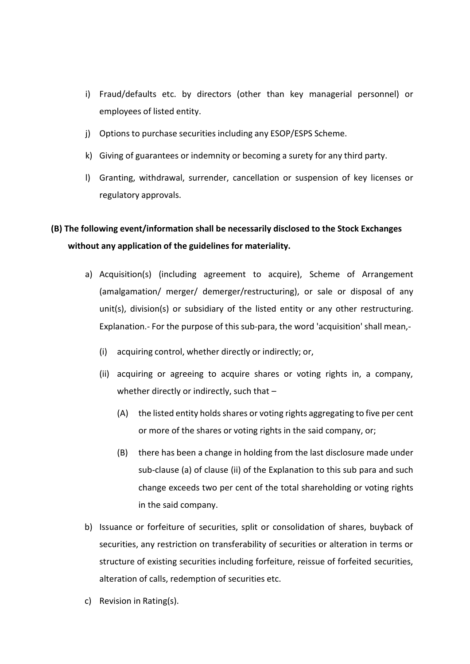- i) Fraud/defaults etc. by directors (other than key managerial personnel) or<br>employees of listed entity.<br>j) Options to purchase securities including any ESOP/ESPS Scheme. Fraud/defaults etc. by directors (other than key managerial personnel) or<br>employees of listed entity.<br>Options to purchase securities including any ESOP/ESPS Scheme.<br>Giving of guarantees or indemnity or becoming a surety fo i) Fraud/defaults etc. by directors (other than key managerial personnel) or<br>employees of listed entity.<br>j) Options to purchase securities including any ESOP/ESPS Scheme.<br>k) Giving of guarantees or indemnity or becoming a
- 
- 
- k) Fraud/defaults etc. by directors (other than key managerial personnel) or<br>employees of listed entity.<br>(i) Options to purchase securities including any ESOP/ESPS Scheme.<br>(i) Giving of guarantees or indemnity or becoming l) Fraud/defaults etc. by directors (other than key managerial personnel) or<br>employees of listed entity.<br>(i) Options to purchase securities including any ESOP/ESPS Scheme.<br>(k) Giving of guarantees or indemnity or becoming Fraud/defaults etc. by directors (other than key managerial personnel)<br>employees of listed entity.<br>Options to purchase securities including any ESOP/ESPS Scheme.<br>Giving of guarantees or indemnity or becoming a surety for a

# (B) The following event/information shall be necessarily disclosed to the Stock Exchanges (Figure 2) Options to purchase securities including any ESOP/ESPS Scheme.<br>
(B) The following of guarantees or indemnity or becoming

- i) Fraud/defaults etc. by directors (other than key managerial personnel) or<br>employees of listed entity.<br>j) Options to purchase securities including any ESOP/ESPS Scheme.<br>k) Giving of guarantees or indemnity or becoming a i) Fraud/defaults etc. by directors (other than key managerial personnel) or<br>
employees of listed entity.<br>
(i) Options to purchase securities including any ESOP/ESPS Scheme.<br>
k) Giving of guarantees or indemnity or becomin Fraudyderaults etc. by directors (other than key managerial personnel) or<br>employees of listed entity.<br>Options to purchase securities including any ESOP/ESPS Scheme.<br>Giving of guarantees or indemnity or becoming a surety fo employees or listed entity.<br>Options to purchase securities including any ESOP/ESPS Scheme.<br>Granting, withdrawal, surrender, cancellation or suspension of key licenses or<br>regulatory approvals.<br>Wing event/information shall b Options to purchase securities including any ESOP/ESPS Scheme.<br>
Giving of guarantees or indemnity or becoming a surety for any third party.<br>
Granting, withdrawal, surrender, cancellation or suspension of key licenses or<br>
r Giving of guarantees or indemnity or becoming a surety tor any third party.<br>
Granting, withdrawal, surrender, cancellation or suspension of key licenses or<br>
regulatory approvals.<br>
wing event/information shall be necessaril Granting, withdrawal, surrender, cancellation or suspension of key licenses or<br>regulatory approvals.<br>wing event/information shall be necessarily disclosed to the Stock Exchanges<br>any application of the guidelines for materi latory approvals.<br>
state are event/information shall be necessarily disclosed to the Stock Exchanges<br>
application of the guidelines for materiality.<br>
station(s) (including agreement to acquire), Scheme of Arrangement<br>
stat (A) the listed entity disclosed to the Stock Exchanges<br>application of the guidelines for materiality.<br>Antistion(s) (including agreement to acquire), Scheme of Arrangement<br>algamation/ merger/ demerger/restructuring), or sal cation of the guidelines for materiality.<br>
In(s) (including agreement to acquire), Scheme of Arrangement<br>
ation/merger/demerger/restructuring), or sale or disposal of any<br>
vision(s) or subsidiary of the listed entity or an
	-
	- -
- isition(s) (including agreement to acquire), Scheme of Arrangement<br>Ilgamation/ merger/ demerger/restructuring), or sale or disposal of any<br>s), division(s) or subsidiary of the listed entity or any other restructuring.<br>anat n(s) (including agreement to acquire), Scheme of Arrangement<br>ation/ merger/ demerger/restructuring), or sale or disposal of any<br>vision(s) or subsidiary of the listed entity or any other restructuring.<br>n.- For the purpose o ation/ merger/ demerger/restructuring), or sale or disposal of any<br>vision(s) or subsidiary of the listed entity or any other restructuring.<br>In. For the purpose of this sub-para, the word 'acquisition' shall mean,-<br>ring con vision(s) or subsidiary of the listed entity or any other restructuring.<br>
In. - For the purpose of this sub-para, the word 'acquisition' shall mean,-<br>
ring control, whether directly or indirectly; or,<br>
ring or agreeing to
	- Lementaton For the parpelar or this beat party in the the edgension share metally<br>
	(i) acquiring or agreeing to acquire shares or voting rights in, a company,<br>
	whether directly or indirectly, such that –<br>
	(A) the listed en (i) acquiring control, whether directly or indirectly; or,<br>
	(ii) acquiring or agreeing to acquire shares or voting rights in, a company,<br>
	whether directly or indirectly, such that –<br>
	(A) the listed entity holds shares or (ii) acquiring or agreeing to acquire shares or voting rights in, a company,<br>whether directly or indirectly, such that –<br>(A) the listed entity holds shares or voting rights aggregating to five per cent<br>or more of the shar whether directly or indirectly, such that –<br>
	(A) the listed entity holds shares or voting rights aggregating to five per cent<br>
	or more of the shares or voting rights in the said company, or;<br>
	(B) there has been a change in (A) the listed entity holds shares or voting rights aggregating to five per c<br>or more of the shares or voting rights in the said company, or;<br>(B) there has been a change in holding from the last disclosure made un<br>sub-clau
	-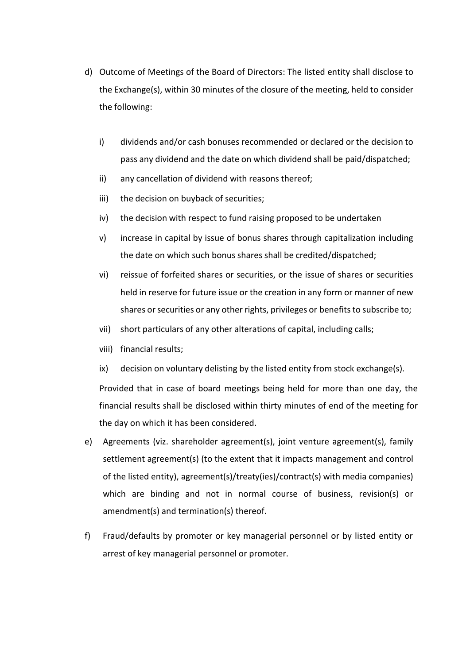- d) Outcome of Meetings of the Board of Directors: The listed entity shall disclose to<br>the Exchange(s), within 30 minutes of the closure of the meeting, held to consider<br>the following: Outcome of Meetings of the Board of Directors: The listed entity shall disclose to<br>the Exchange(s), within 30 minutes of the closure of the meeting, held to consider<br>the following:<br>i) dividends and/or cash bonuses recommen Outcome of Meetings of the Board of Directors: The listed entity shall<br>the Exchange(s), within 30 minutes of the closure of the meeting, held t<br>the following:<br>i) dividends and/or cash bonuses recommended or declared or the Outcome of Meetings of the Board of Directors: The listed entity shall disclose to<br>the Exchange(s), within 30 minutes of the closure of the meeting, held to consider<br>the following:<br>i) dividends and/or cash bonuses recommen pass any dividends and for the Board of Directors: The listed entity shall disclose to<br>schange(s), within 30 minutes of the closure of the meeting, held to consider<br>plowing:<br>dividends and/or cash bonuses recommended or dec Outcome of Meetings of the Board of Directors: The listed entity shall disclose to<br>the Exchange(s), within 30 minutes of the closure of the meeting, held to consider<br>the following:<br>i) dividends and/or cash bonuses recommen Outcome of Meetings of the Board of Directors: The listed entity shall disclose to<br>the Exchange(s), within 30 minutes of the closure of the meeting, held to consider<br>the following:<br>i) dividends and/or cash bonuses recommen Outcome of Meetings of the Board of Directors: The listed entity shall disclose to<br>the Exchange(s), within 30 minutes of the closure of the meeting, held to consider<br>the following:<br>i) dividends and/or cash bonuses recommen Outcome of Meetings of the Board of Directors: The listed entity shall disclose to<br>the Exchange(s), within 30 minutes of the closure of the meeting, held to consider<br>the following:<br>i) dividends and/or cash bonuses recommen ome of Meetings of the Board of Directors: The listed entity shall disclose to<br>schange(s), within 30 minutes of the closure of the meeting, held to consider<br>pllowing:<br>dividends and/or cash bonuses recommended or declared o
	-
	-
	-
	-
	-
	- the Exchange(s), within 30 minutes of the closure of the meeting, held to consider<br>the following:<br>i) dividends and/or cash bonuses recommended or declared or the decision to<br>pass any dividend and the date on which dividend illowing:<br>dividends and/or cash bonuses recommended or declared or the decision to<br>pass any dividend and the date on which dividend shall be paid/dispatched;<br>any cancellation of dividend with reasons thereof;<br>the decision dividends and/or cash bonuses recommended or declared or the decision to<br>pass any dividend and the date on which dividend shall be paid/dispatched;<br>any cancellation of dividend with reasons thereof;<br>the decision on buyback i) dividends and/or cash bonuses recommended or declared or the decision to pass any dividend and the date on which dividend shall be paid/dispatched;<br>
	ii) any cancellation of dividend with reasons thereof;<br>
	iii) the decis pass any dividend and the date on which dividend shall be paid/dispatched;<br>
	ii) any cancellation of dividend with reasons thereof;<br>
	iii) the decision on buyback of securities;<br>
	iv) the decision with respect to fund raising
	-
	-
	-

ii) any cancellation of dividend with reasons thereof;<br>iii) the decision on buyback of securities;<br>yhthe decision with respect to fund raising proposed to be undertaken<br>yhterease in capital by issue of bonus shares shall b iii) the decision on buyback of securities;<br>
iv) the decision with respect to fund raising proposed to be undertaken<br>
v) increase in capital by issue of bonus shares through capitalization including<br>
the date on which such fiv) the decision with respect to fund raising proposed to be undertaken<br>
wherease in capital by issue of bonus shares through capitalization including<br>
the date on which such bonus shares shall be credited/dispatched;<br>
wi or increase in capital by issue of bonus shares through capitalization including<br>the date on which such bonus shares shall be credited/dispatched;<br>the date on which such bonus shares shall be credited/dispatched;<br>has been

- the date on which such bonus shares shall be credited/dispatched;<br>
vi) reissue of forfeited shares or securities, or the issue of shares or securities<br>
held in reserve for future issue or the creation in any form or manner sty reissue of forfeited shares or securities, or the issue of shares or securities<br>held in reserve for future issue or the creation in any form or manner of new<br>shares or securities or any other rights, privileges or bene of the listed entity), agreement(s) (the listed entity) and terminal contracts and the listed entity), and the listed entity from stock exchange(s).<br>
The listed entity of any other alterations of capital, including calls;<br> where or securities or any other rights, privileges or benefits to subscribe to;<br>short particulars of any other alterations of capital, including calls;<br>iii) financial results;<br>and no voluntary delisting by the listed enti amera consideration and y chief-granger and the terminational spin and the termination of spiral, including calls;<br>iii) financial results;<br>whether detain on voluntary delisting by the listed entity from stock exchange(s).<br> iii) financial results;<br>ix) decision on voluntary delisting by the listed entity from stock exchange(s).<br>Provided that in case of board meetings being held for more than one day, the<br>financial results shall be disclosed wi k) decision on voluntary delisting by the listed entity from stock exchange(s).<br>Provided that in case of board meetings being held for more than one day, the<br>inancial results shall be disclosed within thirty minutes of end
-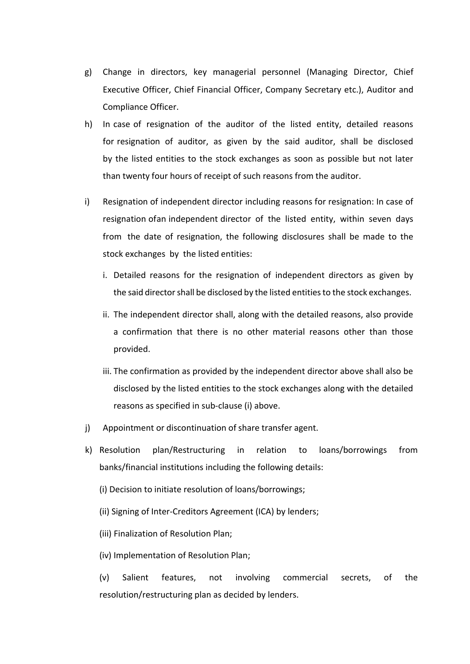- g) Change in directors, key managerial personnel (Managing Director, Chief<br>Executive Officer, Chief Financial Officer, Company Secretary etc.), Auditor and<br>Compliance Officer.<br>h) In case of resignation of the auditor of th Change in directors, key managerial personnel (Managing Director, Chief<br>Executive Officer, Chief Financial Officer, Company Secretary etc.), Auditor and<br>Compliance Officer.<br>In case of resignation of the auditor of the list
- Change in directors, key managerial personnel (Managing Director, Chie<br>Executive Officer, Chief Financial Officer, Company Secretary etc.), Auditor an<br>Compliance Officer.<br>In case of resignation of the auditor of the listed g) Change in directors, key managerial personnel (Managing Director, Chief<br>Executive Officer, Chief Financial Officer, Company Secretary etc.), Auditor and<br>Compliance Officer.<br>h) In case of resignation of the auditor of th Change in directors, key managerial personnel (Managing Director, Chief<br>Executive Officer, Chief Financial Officer, Company Secretary etc.), Auditor and<br>Compliance Officer.<br>In case of resignation of the auditor of the list Change in directors, key managerial personnel (Managing Director, Chief<br>Executive Officer, Chief Financial Officer, Company Secretary etc.), Auditor and<br>Compliance Officer.<br>In case of resignation of the auditor of the list Change in directors, key managerial personnel (Managing Director, Chief Executive Officer, Chief Financial Officer, Company Secretary etc.), Auditor and Compliance Officer.<br>In case of resignation of the auditor of the list resignation of independent director of the listed entity, which and the stock exclusive Officer, Chief Financial Officer, Company Secretary etc.), Auditor and Compliance Officer.<br>
h) In case of resignation of the auditor o Change in directors, key managerial personnel (Managing Director, Chief<br>Executive Officer, Chief Financial Officer, Company Secretary etc.), Auditor and<br>Compliance Officer.<br>In case of resignation of the auditor of the list Change in directors, key managerial personnel (Managing Director, Chief<br>Executive Officer, Chief Financial Officer, Company Secretary etc.), Auditor and<br>Compliance Officer.<br>In case of resignation of the auditor of the list Change in directors, key managerial personnel (Managing Director, Chief<br>Executive Officer, Chief Financial Officer, Company Secretary etc.), Auditor and<br>Compliance Officer.<br>In case of resignation of the auditor of the list Executive Officer, Chief Financial Officer, Company Secretary etc.), Auditor and<br>Compliance Officer.<br>In case of resignation of the auditor of the listed entity, detailed reasons<br>for resignation of auditor, as given by the mpliance Officer.<br>
case of resignation of the auditor of the listed entity, detailed reasons<br>
resignation of auditor, as given by the said auditor, shall be disclosed<br>
the listed entities to the stock exchanges as soon as In case of resignation of the auditor of the listed entity, detailed reasons<br>for resignation of auditor, as given by the said auditor, shall be disclosed<br>by the listed entities to the stock exchanges as soon as possible bu
- resignation of auditor, as given by the said auditor, shall be disclosed<br>the listed entities to the stock exchanges as soon as possible but not later<br>an twenty four hours of receipt of such reasons from the auditor.<br>Isigna than twenty four hours of receipt of such reasons from the auditor.<br>Resignation of independent director including reasons for resignation: In case of<br>resignation of an independent director of the listed entity, within seve signation of independent director including reasons for resignation: In case of<br>ignation ofan independent director of the listed entity, within seven days<br>m the date of resignation, the following disclosures shall be made ignation ofan independent director of the listed entity, within seven days<br>m the date of resignation, the following disclosures shall be made to the<br>ock exchanges by the listed entities:<br>Detailed reasons for the resignatio
	-
	- provided.
- from the date of resignation, the following disclosures shall be made to the stock exchanges by the listed entities:<br>
i. Detailed reasons for the resignation of independent directors as given by the said director shall be stock exchanges by the listed entities:<br>
i. Detailed reasons for the resignation of independent directors as given by<br>
the said director shall be disclosed by the listed entities to the stock exchanges.<br>
ii. The independen i. Detailed reasons for the resignation of independent directors as given by<br>the said director shall be disclosed by the listed entities to the stock exchanges.<br>ii. The independent director shall, along with the detailed r the said director shall be disclosed by the listed entities to the stock exchanges.<br>
ii. The independent director shall, along with the detailed reasons, also provide<br>
a confirmation that there is no other material reasons II. The independent director shall, along with the detailed reasons, also provide<br>
a confirmation that there is no other material reasons other than those<br>
provided.<br>
III. The confirmation as provided by the independent di (ii) Finalization of Resolution Plan;<br>
(ii) The confirmation as provided by the independent director above shall also be<br>
disclosed by the listed entities to the stock exchanges along with the detailed<br>
reasons as specifie iii. The confirmation as provided by the independent director above shall also be<br>disclosed by the listed entities to the stock exchanges along with the detailed<br>reasons as specified in sub-clause (i) above.<br>Appointment or disclosed by the listed entities to the stock exchanges along with the detailed<br>reasons as specified in sub-clause (i) above.<br>Appointment or discontinuation of share transfer agent.<br>Resolution — plan/Restructuring — in — r
- 
- reasons as specified in sub-clause (i) above.<br>
Appointment or discontinuation of share transfer agent.<br>
Resolution plan/Restructuring in relation to loans/borrowings from<br>
banks/financial institutions including
	-
	-
	-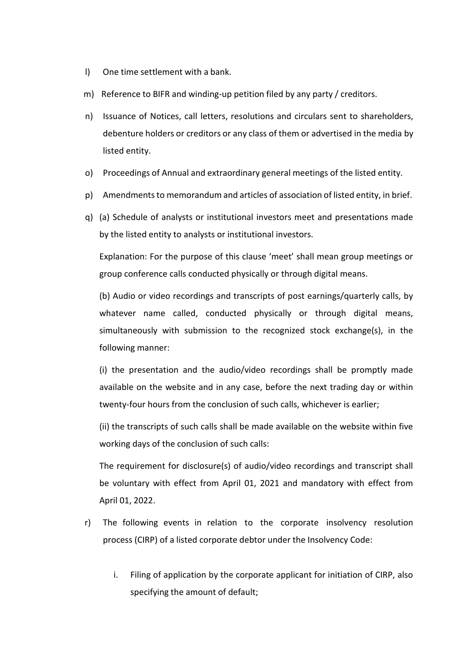- 
- 
- l) One time settlement with a bank.<br>
(a) Reference to BIFR and winding-up petition filed by any party / creditors.<br>
(b) Issuance of Notices, call letters, resolutions and circulars sent to shareholders, I) One time settlement with a bank.<br>
m) Reference to BIFR and winding-up petition filed by any party / creditors.<br>
n) Issuance of Notices, call letters, resolutions and circulars sent to shareholders,<br>
debenture holders or n) One time settlement with a bank.<br>
h) Reference to BIFR and winding-up petition filed by any party / creditors.<br>
h) Issuance of Notices, call letters, resolutions and circulars sent to shareholders,<br>
debenture holders or One time settlement with a bank.<br>Reference to BIFR and winding-up petition filed by any party / creditors.<br>Issuance of Notices, call letters, resolutions and circulars sent to shareholders,<br>debenture holders or creditors o One time settlement with a bank.<br>Reference to BIFR and winding-up petition filed by any party / creditors.<br>Issuance of Notices, call letters, resolutions and circulars sent to share<br>debenture holders or creditors or any cl (a) Proceedings of Annual and extraordinary general meetings of Annual and extraordinary proceedings of Annual and extraordinary general meetings of the listed entity.<br>
(a) Proceedings of Annual and extraordinary general m p)<br>
p) Reference to BIFR and winding-up petition filed by any party / creditors.<br>
h) Issuance of Notices, call letters, resolutions and circulars sent to shareholders,<br>
debenture holders or creditors or any class of them o (a) The time settlement with a bank.<br>
(a) Reference to BIFR and winding-up petition filed by any party / creditors.<br>
(a) Issuance of Notices, call letters, resolutions and circulars sent to shareholders,<br>
debenture holders One time settlement with a bank.<br>
Reference to BIFR and winding-up petition filed by any party / creditors.<br>
Issuance of Notices, call letters, resolutions and circulars sent to shareholders,<br>
debenture holders or creditor One time settlement with a bank.<br>
Reference to BIFR and winding-up petition filed by any party / creditors.<br>
Issuance of Notices, call letters, resolutions and circulars sent to shareholders,<br>
debenture holders or creditor The must consider the burden interesting the physically or the recognized physically conducts and the media by<br>Issuance of Notices, call letters, resolutions and circulars sent to shareholders,<br>debenture holders or credito
- 
- 
- 

(b) Audio or video recordings and transcripts of posterior and transcripts of the media by<br>
listed entity.<br>
Proceedings of Annual and extraordinary general meetings of the listed entity.<br>
Proceedings of Annual and extraord Issuance of Notices, call letters, resolutions and circulars sent to shareholders,<br>debenture holders or creditors or any class of them or advertised in the media by<br>listed entity.<br>Proceedings of Annual and extraordinary ge depenture notders or creations or any class of them or advertised in the media by<br>listed entity.<br>Proceedings of Annual and extraordinary general meetings of the listed entity.<br>Amendments to memorandum and articles of assoc Insted entity.<br>
Proceedings of Annual and extraordinary general meetings of the listed entitiv, in L<br>
Amendments to memorandum and articles of association of listed entity, in L<br>
(a) Schedule of analysts or institutional i Proceedings or Annual and extraordinary general meetings of the listed entity.<br>
Amendments to memorandum and articles of association of listed entity, in brief.<br>
(a) Schedule of analysts or institutional investors meet and Amendments to memorandum and articles of association of listed entity, in brief.<br>
(a) Schedule of analysts or institutional investors meet and presentations made<br>
by the listed entity to analysts or institutional investors (a) Schedule of analysts or institutional investors meet and presentations made<br>by the listed entity to analysts or institutional investors.<br>Explanation: For the purpose of this clause 'meet' shall mean group meetings or<br>g by the listed entity to analysts or institutional investors.<br>Explanation: For the purpose of this clause 'meet' shall mean group meetings or<br>group conference calls conducted physically or through digital means.<br>(b) Audio o Explanation: For the purpose of this clause 'meet' shall mean group meetings or<br>group conference calls conducted physically or through digital means.<br>(b) Audio or video recordings and transcripts of post earnings/quarterly group conference calls conducted physically or through digital means.<br>
(b) Audio or video recordings and transcripts of post earnings/quarterly calls, by<br>
whatever name called, conducted physically or through digital means (b) Audio or video recordings and transcripts of post earnings/quarterly calls, by<br>whatever name called, conducted physically or through digital means,<br>simultaneously with submission to the recognized stock exchange(s), in whatever name called, conducted physically or through digital m<br>simultaneously with submission to the recognized stock exchange(s), ii<br>following manner:<br>(i) the presentation and the audio/video recordings shall be promptly

simultaneously with submission to the recognized stock exchange(s), in the<br>
following manner:<br>
(i) the presentation and the audio/video recordings shall be promptly made<br>
available on the website and in any case, before th ollowing manner:<br>
i) the presentation and the audio/video recordings shall be promptly made<br>
vailable on the website and in any case, before the next trading day or within<br>
wenty-four hours from the conclusion of such call ilable on the website and in any case, before the next trading day or within<br>thty-four hours from the conclusion of such calls, whichever is earlier;<br>the transcripts of such calls shall be made available on the website wit four hours from the conclusion of such calls, whichever is earlier;<br>ranscripts of such calls shall be made available on the website within five<br>days of the conclusion of such calls:<br>uirement for disclosure(s) of audio/vide

- -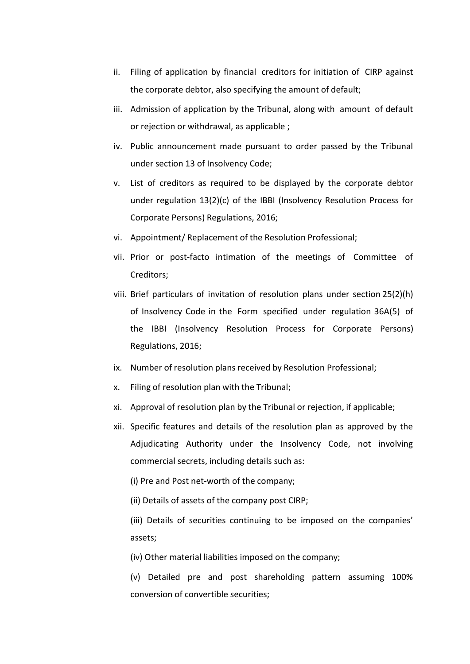- ii. Filing of application by financial creditors for initiation of CIRP against<br>the corporate debtor, also specifying the amount of default;<br>iii. Admission of application by the Tribunal, along with amount of default<br>or re Filing of application by financial creditors for initiation of CIRP against<br>the corporate debtor, also specifying the amount of default;<br>Admission of application by the Tribunal, along with amount of default<br>or rejection o
- 
- ii. Filing of application by financial creditors for initiation of CIRP against<br>the corporate debtor, also specifying the amount of default;<br>iii. Admission of application by the Tribunal, along with amount of default<br>or re Filing of application by financial creditors for initiation of CIRP against<br>the corporate debtor, also specifying the amount of default;<br>Admission of application by the Tribunal, along with amount of default<br>or rejection o ii. Filing of application by financial creditors for initiation of CIRP against<br>the corporate debtor, also specifying the amount of default;<br>iii. Admission of application by the Tribunal, along with amount of default<br>or re
- Filing of application by financial creditors for initiation of CIRP against<br>the corporate debtor, also specifying the amount of default;<br>Admission of application by the Tribunal, along with amount of default<br>or rejection o ii. Filing of application by financial creditors for initiation of CIRP against<br>the corporate debtor, also specifying the amount of default;<br>iii. Admission of application by the Tribunal, along with amount of default<br>or re Filing of application by financial creditors for initiation of CIRP against<br>the corporate debtor, also specifying the amount of default;<br>Admission of application by the Tribunal, along with amount of default<br>or rejection o Filing of application by financial creditors for initiation of CIRP against<br>the corporate debtor, also specifying the amount of default;<br>Admission of application by the Tribunal, along with amount of default<br>or rejection o ii. Filing of application by financial creditors for initiation of CIRP against<br>the corporate debtor, also specifying the amount of default;<br>iii. Admission of application by the Tribunal, along with amount of default<br>or re ii. Filing of application by financial creditors for initiation of CIRP against<br>the corporate debtor, also specifying the amount of default;<br>iii. Admission of application by the Tribunal, along with amount of default<br>or re
- 
- Creditors;
- iii. Admission of application by the Tribunal, along with amount of default<br>or rejection or withdrawal, as applicable ;<br>iv. Public announcement made pursuant to order passed by the Tribunal<br>under section 13 of Insolvency C or rejection or withdrawal, as applicable ;<br>Public announcement made pursuant to order passed by the Tribunal<br>under section 13 of Insolvency Code;<br>List of creditors as required to be displayed by the corporate debtor<br>under Public announcement made pursuant to order passed by the Tribunal<br>under section 13 of Insolvency Code;<br>List of creditors as required to be displayed by the corporate debtor<br>under regulation 13(2)(c) of the IBBI (Insolvency rander section 13 of Insolvency Code;<br>
List of creditors as required to be displayed by the corporate debtor<br>
under regulation 13(2)(c) of the IBBI (Insolvency Resolution Process for<br>
Corporate Persons) Regulations, 2016;<br> v. List of creditors as required to be displayed by the corporate debtor<br>
under regulation 13(2)(c) of the IBBI (Insolvency Resolution Process for<br>
Corporate Persons) Regulations, 2016;<br>
vi. Appointment/ Replacement of the under regulation 13(2)(c) of the IBBI (Insolvency Resolution Process for<br>
Corporate Persons) Regulations, 2016;<br>
vi. Phopintment/ Replacement of the Resolution Professional;<br>
vii. Prior or post-facto intimation of the meet Corporate Persons) Regulations, 2016;<br>
vi. Phopointment/ Replacement of the Resolution Professional;<br>
vii. Prior or post-facto intimation of the meetings of Committee of<br>
Creditors;<br>
viii. Brief particulars of invitation o vi. Appointment/ Replacement of the Resolution Professional;<br>vii. Prior or post-facto intimation of the meetings of Committee of<br>Creditors;<br>viii. Brief particulars of invitation of resolution plans under section 25(2)(h)<br>o Prior or post-facto intimation of the meetings of Committee of<br>Creditors;<br>Brief particulars of invitation of resolution plans under section 25(2)(h)<br>of Insolvency Code in the Form specified under regulation 36A(5) of<br>the I Creditors;<br>Brief particulars of invitation of resolution plans under section 25(2)(h)<br>of Insolvency Code in the Form specified under regulation 36A(5) of<br>the IBBI (Insolvency Resolution Process for Corporate Persons)<br>Regul Brief particulars of invitation of resolution plans under section 25(2)(h)<br>of Insolvency Code in the Form specified under regulation 36A(5) of<br>the IBBI (Insolvency Resolution Process for Corporate Persons)<br>Regulations, 201 of Insolvency Code in the Form specified under regulation 36A(5) of<br>the IBBI (Insolvency Resolution Process for Corporate Persons)<br>Regulations, 2016;<br>Number of resolution plans received by Resolution Professional;<br>Filing o
- 
- 
- 
- (insolvency Resolution Process for Corporate Persons)<br>
Regulations, 2016;<br>
Number of resolution plans received by Resolution Professional;<br>
Filing of resolution plan with the Tribunal;<br>
Approval of resolution plan by the T Number of resolution plans received by Resolution Professional;<br>Filing of resolution plan with the Tribunal;<br>Approval of resolution plan by the Tribunal or rejection, if applicable;<br>Specific features and details of the res Filing of resolution plan with the Tribunal;<br>Approval of resolution plan by the Tribunal or rejection, if applicable;<br>Specific features and details of the resolution plan as approved by the<br>Adjudicating Authority under the Approval of resolution plan by the Tribunal or rejection, if applicable;<br>Specific features and details of the resolution plan as approved by the<br>Adjudicating Authority under the Insolvency Code, not involving<br>commercial se

- 
- assets;
-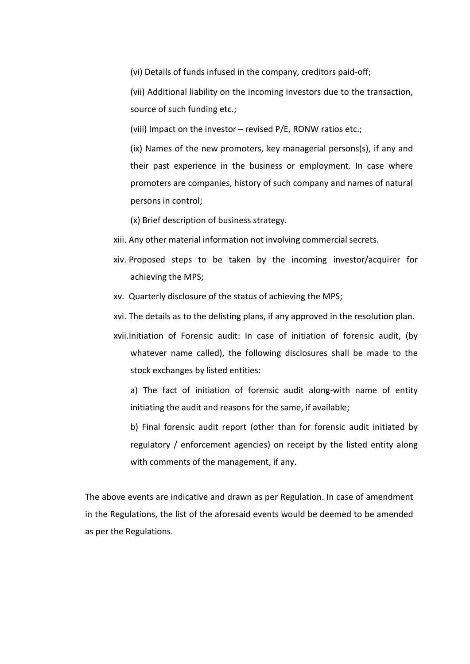(vi) Details of funds infused in the company, creditors paid-off;<br>(vii) Additional liability on the incoming investors due to the transaction,<br>source of such funding etc.;<br>(viii) Impact on the investor – revised P/E. RONW (vi) Details of funds infused in the company, creditors paid-off;<br>(vii) Additional liability on the incoming investors due to the transaction,<br>source of such funding etc.;<br>(ixi) Impact on the investor – revised P/E, RONW r (vi) Details of funds infused in the company, creditors paid-off;<br>(vii) Additional liability on the incoming investors due to the transaction,<br>source of such funding etc.;<br>(viii) Impact on the investor – revised P/E, RONW

(vi) Details of funds infused in the company, creditors paid-off;<br>(vii) Additional liability on the incoming investors due to the transaction,<br>source of such funding etc.;<br>(ivi) Impact on the investor – revised P/E, RONW r (vi) Details of funds infused in the company, creditors paid-off;<br>(vii) Additional liability on the incoming investors due to the transaction,<br>source of such funding etc.;<br>(ix) Impact on the investor – revised P/E, RONW ra (vi) Details of funds infused in the company, creditors paid-off;<br>
(vii) Additional liability on the incoming investors due to the transaction,<br>
source of such funding etc.;<br>
(iii) Impact on the investor – revised P/E, RON (vi) Details of funds infused in the company, creditors paid-off;<br>
(vii) Additional liability on the incoming investors due to the transaction,<br>
source of such funding etc.;<br>
(ivi) Impact on the investor – revised P/E, RON (vi) Details of funds infused in the company, creditors paid-off;<br>
(vii) Additional liability on the incoming investors due to the transaction,<br>
source of such funding etc.;<br>
(viii) Impact on the investor – revised P/E, RO (vi) Details of funds infused in the company, creditors paid-off;<br>
(vii) Additional liability on the incoming investors due to the transaction,<br>
source of such funding etc.;<br>
(ixi) Impact on the investor – revised P/E, RON (vi) Details of funds infused in the company, creditors paid-off;<br>
(vii) Additional liability on the incoming investors due to the transaction,<br>
source of such funding etc.;<br>
(ivi) Impact on the investor – revised P/E, RON (vi) Details of funds infused in the company, creditors paid-off;<br>
(vii) Additional liability on the incoming investors due to the transaction,<br>
source of such funding etc.;<br>
(iii) Impact on the investor – revised  $P/E$ , R (vii) Additional liability on the incoming investors due to the transaction,<br>source of such funding etc.;<br>(vii) Impact on the investor – revised P/E, RONW ratios etc.;<br>(ix) Names of the new promoters, key managerial person source of such funding etc.;<br>
(viii) Impact on the investor – revised P/E, RONW ratios etc.;<br>
(ix) Names of the new promoters, key managerial persons(s), if any and<br>
their past experience in the business or employment. In (viii) Impact on the investor – revised  $P/E$ , RONW ratios etc.;<br>
(ix) Names of the new promoters, key managerial persons(s), if any and<br>
their past experience in the business or employment. In case where<br>
promoters are co (ix) Names of the new promoters, key managerial persons(s), if any and<br>their past experience in the business or employment. In case where<br>promoters are companies, history of such company and names of natural<br>persons in co their past experience in the business or employment. In case where<br>promoters are companies, history of such company and names of natural<br>persons in control;<br>(x) Brief description of business strategy.<br>Any other material in

- 
- 
- 
- 
- promoters are companies, history of such company and names of natural<br>persons in control;<br>(x) Brief description of business strategy.<br>Any other material information not involving commercial secrets.<br>Proposed steps to be ta persons in control;<br>
(x) Brief description of business strategy.<br>
Any other material information not involving commercial secrets.<br>
Proposed steps to be taken by the incoming investor/acquirer for<br>
achieving the MPS;<br>
Quar (x) Brief description of business strategy.<br>
Any other material information not involving commercial secrets.<br>
Proposed steps to be taken by the incoming investor/acquirer for<br>
achieving the MPS;<br>
Quarterly disclosure of t Any other material information not involving commercial secrets.<br>Proposed steps to be taken by the incoming investor/acquirer for<br>achieving the MPS;<br>Quarterly disclosure of the status of achieving the MPS;<br>The details as t Proposed steps to be taken by the incoming investor/acquirer for<br>achieving the MPS;<br>Quarterly disclosure of the status of achieving the MPS;<br>The details as to the delisting plans, if any approved in the resolution plan.<br>In achieving the MPS;<br>Quarterly disclosure of the status of achieving the MPS;<br>The details as to the delisting plans, if any approved in the resolution plan.<br>Initiation of Forensic audit: In case of initiation of forensic aud

A. Cadricity sisessare of the status of edificing factoms,  $\frac{1}{2}$ <br>
xvi. The details as to the delisting plans, if any approved in the resolution plan.<br>
xvii. Initiation of Forensic audit: In case of initiation of forens xvi. The details as to the delisting plants, ii any approved in the resolution plants.<br>
xvii.Initiation of Forensic audit: In case of initiation of forensic audit, (by<br>
whatever name called), the following disclosures shal xvii.Initiation of Forensic audit: In case of initiation of forensic a<br>whatever name called), the following disclosures shall be mad<br>stock exchanges by listed entities:<br>a) The fact of initiation of forensic audit along-wit